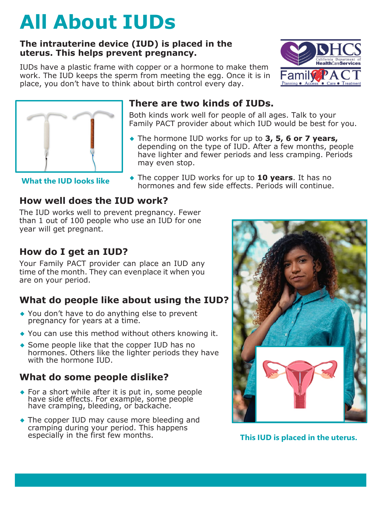# **All About IUDs**

#### **The intrauterine device (IUD) is placed in the uterus. This helps prevent pregnancy.**

IUDs have a plastic frame with copper or a hormone to make them work. The IUD keeps the sperm from meeting the egg. Once it is in place, you don't have to think about birth control every day.





## **There are two kinds of IUDs.**

Both kinds work well for people of all ages. Talk to your Family PACT provider about which IUD would be best for you.

◆ The hormone IUD works for up to **3, 5, 6 or 7 years,** depending on the type of IUD. After a few months, people have lighter and fewer periods and less cramping. Periods may even stop.

**What the IUD looks like**

◆ The copper IUD works for up to **10 years**. It has no hormones and few side effects. Periods will continue.

## **How well does the IUD work?**

The IUD works well to prevent pregnancy. Fewer than 1 out of 100 people who use an IUD for one year will get pregnant.

# **How do I get an IUD?**

Your Family PACT provider can place an IUD any time of the month. They can evenplace it when you are on your period.

# **What do people like about using the IUD?**

- ◆ You don't have to do anything else to prevent pregnancy for years at a time.
- ◆ You can use this method without others knowing it.
- ◆ Some people like that the copper IUD has no hormones. Others like the lighter periods they have with the hormone IUD.

## **What do some people dislike?**

- ◆ For a short while after it is put in, some people have side effects. For example, some people have cramping, bleeding, or backache.
- ◆ The copper IUD may cause more bleeding and cramping during your period. This happens especially in the first few months.



**This IUD** is placed in the uterus.